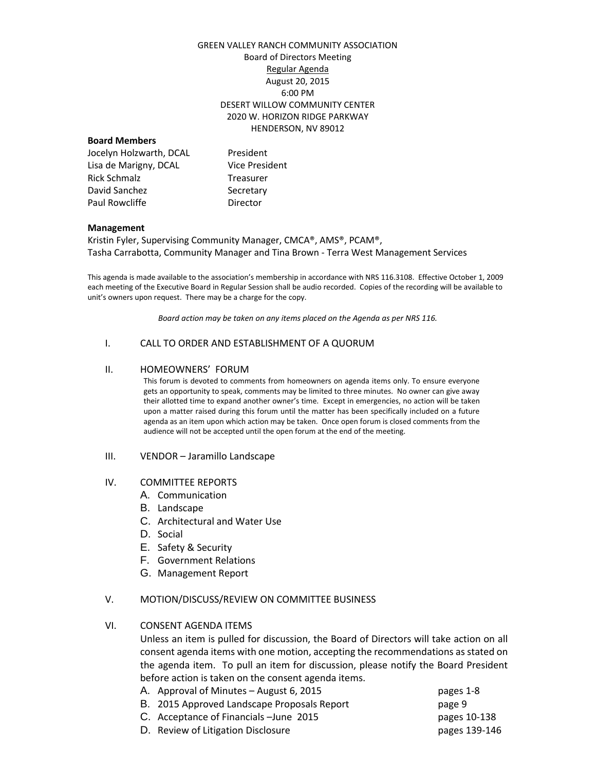## GREEN VALLEY RANCH COMMUNITY ASSOCIATION Board of Directors Meeting Regular Agenda August 20, 2015 6:00 PM DESERT WILLOW COMMUNITY CENTER 2020 W. HORIZON RIDGE PARKWAY HENDERSON, NV 89012

## **Board Members**

| Jocelyn Holzwarth, DCAL | President             |
|-------------------------|-----------------------|
| Lisa de Marigny, DCAL   | <b>Vice President</b> |
| Rick Schmalz            | Treasurer             |
| David Sanchez           | Secretary             |
| Paul Rowcliffe          | Director              |

#### **Management**

Kristin Fyler, Supervising Community Manager, CMCA®, AMS®, PCAM®, Tasha Carrabotta, Community Manager and Tina Brown - Terra West Management Services

This agenda is made available to the association's membership in accordance with NRS 116.3108. Effective October 1, 2009 each meeting of the Executive Board in Regular Session shall be audio recorded. Copies of the recording will be available to unit's owners upon request. There may be a charge for the copy.

*Board action may be taken on any items placed on the Agenda as per NRS 116.*

#### I. CALL TO ORDER AND ESTABLISHMENT OF A QUORUM

#### II. HOMEOWNERS' FORUM

This forum is devoted to comments from homeowners on agenda items only. To ensure everyone gets an opportunity to speak, comments may be limited to three minutes. No owner can give away their allotted time to expand another owner's time. Except in emergencies, no action will be taken upon a matter raised during this forum until the matter has been specifically included on a future agenda as an item upon which action may be taken. Once open forum is closed comments from the audience will not be accepted until the open forum at the end of the meeting.

III. VENDOR – Jaramillo Landscape

## IV. COMMITTEE REPORTS

- A. Communication
- B. Landscape
- C. Architectural and Water Use
- D. Social
- E. Safety & Security
- F. Government Relations
- G. Management Report

## V. MOTION/DISCUSS/REVIEW ON COMMITTEE BUSINESS

## VI. CONSENT AGENDA ITEMS

Unless an item is pulled for discussion, the Board of Directors will take action on all consent agenda items with one motion, accepting the recommendations as stated on the agenda item. To pull an item for discussion, please notify the Board President before action is taken on the consent agenda items.

| A. Approval of Minutes – August 6, 2015     | pages 1-8     |
|---------------------------------------------|---------------|
| B. 2015 Approved Landscape Proposals Report | page 9        |
| C. Acceptance of Financials - June 2015     | pages 10-138  |
| D. Review of Litigation Disclosure          | pages 139-146 |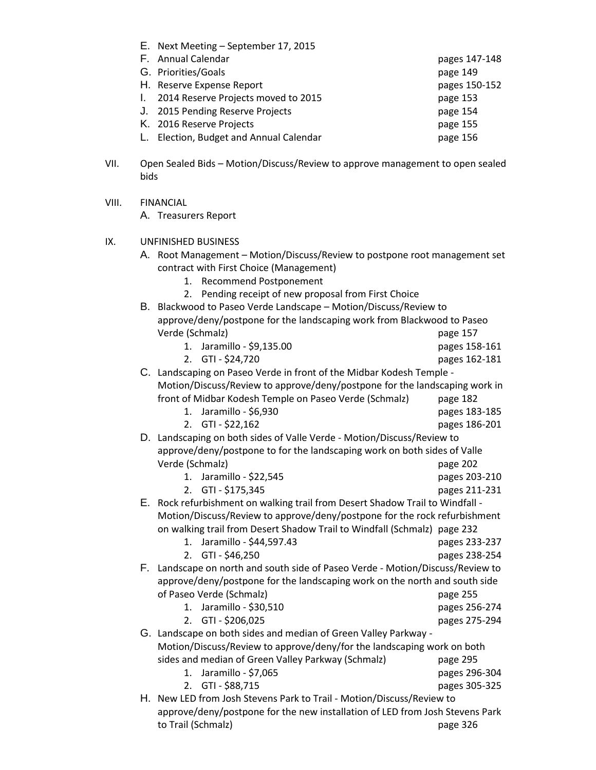| E. Next Meeting - September 17, 2015   |               |
|----------------------------------------|---------------|
| F. Annual Calendar                     | pages 147-148 |
| G. Priorities/Goals                    | page 149      |
| H. Reserve Expense Report              | pages 150-152 |
| 1. 2014 Reserve Projects moved to 2015 | page 153      |
| J. 2015 Pending Reserve Projects       | page 154      |
| K. 2016 Reserve Projects               | page 155      |
| Election, Budget and Annual Calendar   | page 156      |

- VII. Open Sealed Bids Motion/Discuss/Review to approve management to open sealed bids
- VIII. FINANCIAL

A. Treasurers Report

- IX. UNFINISHED BUSINESS
	- A. Root Management Motion/Discuss/Review to postpone root management set contract with First Choice (Management)
		- 1. Recommend Postponement

|    |                                                                              | 2. Pending receipt of new proposal from First Choice                          |               |  |  |
|----|------------------------------------------------------------------------------|-------------------------------------------------------------------------------|---------------|--|--|
| В. | Blackwood to Paseo Verde Landscape - Motion/Discuss/Review to                |                                                                               |               |  |  |
|    | approve/deny/postpone for the landscaping work from Blackwood to Paseo       |                                                                               |               |  |  |
|    | Verde (Schmalz)                                                              |                                                                               | page 157      |  |  |
|    | 1.                                                                           | Jaramillo - \$9,135.00                                                        | pages 158-161 |  |  |
|    | 2.                                                                           | GTI - \$24,720                                                                | pages 162-181 |  |  |
|    |                                                                              | C. Landscaping on Paseo Verde in front of the Midbar Kodesh Temple -          |               |  |  |
|    | Motion/Discuss/Review to approve/deny/postpone for the landscaping work in   |                                                                               |               |  |  |
|    |                                                                              | front of Midbar Kodesh Temple on Paseo Verde (Schmalz)                        | page 182      |  |  |
|    | 1.                                                                           | Jaramillo - \$6,930                                                           | pages 183-185 |  |  |
|    |                                                                              | 2. GTI - \$22,162                                                             | pages 186-201 |  |  |
|    | D. Landscaping on both sides of Valle Verde - Motion/Discuss/Review to       |                                                                               |               |  |  |
|    | approve/deny/postpone to for the landscaping work on both sides of Valle     |                                                                               |               |  |  |
|    | Verde (Schmalz)                                                              |                                                                               | page 202      |  |  |
|    | 1.                                                                           | Jaramillo - \$22,545                                                          | pages 203-210 |  |  |
|    | 2.                                                                           | GTI - \$175,345                                                               | pages 211-231 |  |  |
|    |                                                                              | E. Rock refurbishment on walking trail from Desert Shadow Trail to Windfall - |               |  |  |
|    | Motion/Discuss/Review to approve/deny/postpone for the rock refurbishment    |                                                                               |               |  |  |
|    |                                                                              | on walking trail from Desert Shadow Trail to Windfall (Schmalz) page 232      |               |  |  |
|    | 1.                                                                           | Jaramillo - \$44,597.43                                                       | pages 233-237 |  |  |
|    |                                                                              | 2. GTI - \$46,250                                                             | pages 238-254 |  |  |
| F. |                                                                              | Landscape on north and south side of Paseo Verde - Motion/Discuss/Review to   |               |  |  |
|    |                                                                              | approve/deny/postpone for the landscaping work on the north and south side    |               |  |  |
|    |                                                                              | of Paseo Verde (Schmalz)                                                      | page 255      |  |  |
|    | 1.                                                                           | Jaramillo - \$30,510                                                          | pages 256-274 |  |  |
|    | 2.                                                                           | GTI - \$206,025                                                               | pages 275-294 |  |  |
|    |                                                                              | G. Landscape on both sides and median of Green Valley Parkway -               |               |  |  |
|    |                                                                              | Motion/Discuss/Review to approve/deny/for the landscaping work on both        |               |  |  |
|    |                                                                              | sides and median of Green Valley Parkway (Schmalz)                            | page 295      |  |  |
|    | 1.                                                                           | Jaramillo - \$7,065                                                           | pages 296-304 |  |  |
|    | 2.                                                                           | GTI - \$88,715                                                                | pages 305-325 |  |  |
|    | H. New LED from Josh Stevens Park to Trail - Motion/Discuss/Review to        |                                                                               |               |  |  |
|    | approve/deny/postpone for the new installation of LED from Josh Stevens Park |                                                                               |               |  |  |
|    | to Trail (Schmalz)                                                           |                                                                               | page 326      |  |  |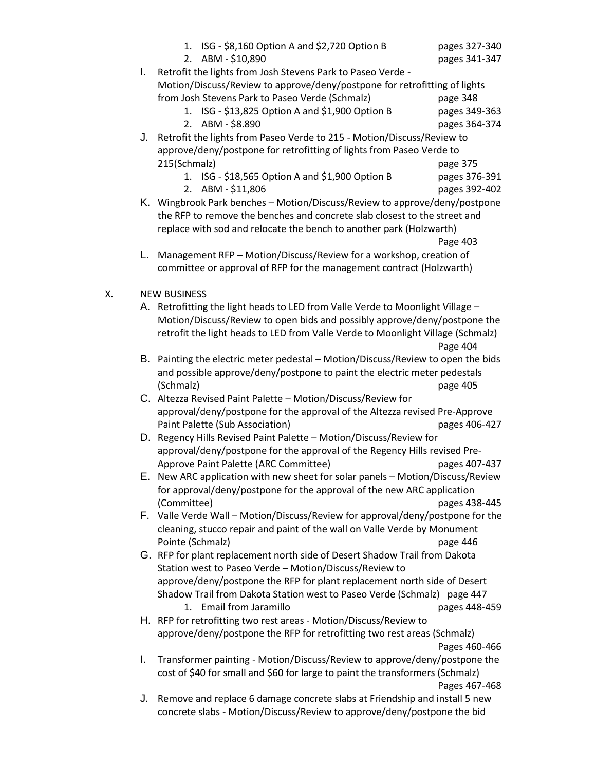|    | L. | 1. ISG - \$8,160 Option A and \$2,720 Option B<br>2. ABM - \$10,890<br>Retrofit the lights from Josh Stevens Park to Paseo Verde -                                                                                             | pages 327-340<br>pages 341-347 |
|----|----|--------------------------------------------------------------------------------------------------------------------------------------------------------------------------------------------------------------------------------|--------------------------------|
|    |    | Motion/Discuss/Review to approve/deny/postpone for retrofitting of lights<br>from Josh Stevens Park to Paseo Verde (Schmalz)                                                                                                   | page 348                       |
|    |    | 1. ISG - \$13,825 Option A and \$1,900 Option B<br>2.<br>ABM - \$8.890                                                                                                                                                         | pages 349-363<br>pages 364-374 |
|    |    | J. Retrofit the lights from Paseo Verde to 215 - Motion/Discuss/Review to                                                                                                                                                      |                                |
|    |    | approve/deny/postpone for retrofitting of lights from Paseo Verde to<br>215(Schmalz)                                                                                                                                           |                                |
|    |    | 1. ISG - \$18,565 Option A and \$1,900 Option B                                                                                                                                                                                | page 375<br>pages 376-391      |
|    |    | 2. ABM - \$11,806                                                                                                                                                                                                              | pages 392-402                  |
|    |    | K. Wingbrook Park benches - Motion/Discuss/Review to approve/deny/postpone<br>the RFP to remove the benches and concrete slab closest to the street and<br>replace with sod and relocate the bench to another park (Holzwarth) | Page 403                       |
|    | L. | Management RFP - Motion/Discuss/Review for a workshop, creation of                                                                                                                                                             |                                |
|    |    | committee or approval of RFP for the management contract (Holzwarth)                                                                                                                                                           |                                |
| Х. |    | <b>NEW BUSINESS</b>                                                                                                                                                                                                            |                                |
|    |    | A. Retrofitting the light heads to LED from Valle Verde to Moonlight Village -                                                                                                                                                 |                                |
|    |    | Motion/Discuss/Review to open bids and possibly approve/deny/postpone the<br>retrofit the light heads to LED from Valle Verde to Moonlight Village (Schmalz)                                                                   | Page 404                       |
|    |    | B. Painting the electric meter pedestal - Motion/Discuss/Review to open the bids                                                                                                                                               |                                |
|    |    | and possible approve/deny/postpone to paint the electric meter pedestals                                                                                                                                                       |                                |
|    |    | (Schmalz)                                                                                                                                                                                                                      | page 405                       |
|    |    | C. Altezza Revised Paint Palette - Motion/Discuss/Review for                                                                                                                                                                   |                                |
|    |    | approval/deny/postpone for the approval of the Altezza revised Pre-Approve                                                                                                                                                     |                                |
|    |    | Paint Palette (Sub Association)                                                                                                                                                                                                | pages 406-427                  |
|    |    | D. Regency Hills Revised Paint Palette - Motion/Discuss/Review for                                                                                                                                                             |                                |
|    |    | approval/deny/postpone for the approval of the Regency Hills revised Pre-                                                                                                                                                      | pages 407-437                  |
|    |    | Approve Paint Palette (ARC Committee)<br>E. New ARC application with new sheet for solar panels - Motion/Discuss/Review                                                                                                        |                                |
|    |    | for approval/deny/postpone for the approval of the new ARC application                                                                                                                                                         |                                |
|    |    | (Committee)                                                                                                                                                                                                                    | pages 438-445                  |
|    |    | F. Valle Verde Wall - Motion/Discuss/Review for approval/deny/postpone for the                                                                                                                                                 |                                |
|    |    | cleaning, stucco repair and paint of the wall on Valle Verde by Monument                                                                                                                                                       |                                |
|    |    | Pointe (Schmalz)                                                                                                                                                                                                               | page 446                       |
|    |    | G. RFP for plant replacement north side of Desert Shadow Trail from Dakota                                                                                                                                                     |                                |
|    |    | Station west to Paseo Verde - Motion/Discuss/Review to                                                                                                                                                                         |                                |
|    |    | approve/deny/postpone the RFP for plant replacement north side of Desert                                                                                                                                                       |                                |
|    |    | Shadow Trail from Dakota Station west to Paseo Verde (Schmalz) page 447                                                                                                                                                        |                                |
|    |    | <b>Email from Jaramillo</b><br>$1_{-}$<br>H. RFP for retrofitting two rest areas - Motion/Discuss/Review to                                                                                                                    | pages 448-459                  |
|    |    | approve/deny/postpone the RFP for retrofitting two rest areas (Schmalz)                                                                                                                                                        |                                |
|    |    |                                                                                                                                                                                                                                | Pages 460-466                  |
|    | I. | Transformer painting - Motion/Discuss/Review to approve/deny/postpone the                                                                                                                                                      |                                |
|    |    | cost of \$40 for small and \$60 for large to paint the transformers (Schmalz)                                                                                                                                                  |                                |
|    |    |                                                                                                                                                                                                                                | Pages 467-468                  |
|    |    | J. Remove and replace 6 damage concrete slabs at Friendship and install 5 new                                                                                                                                                  |                                |
|    |    | concrete slabs - Motion/Discuss/Review to approve/deny/postpone the bid                                                                                                                                                        |                                |
|    |    |                                                                                                                                                                                                                                |                                |